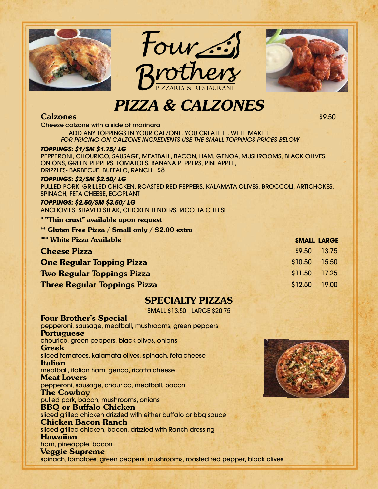





# *PIZZA & CALZONES*

## **Calzones** \$9.50

Cheese calzone with a side of marinara ADD ANY TOPPINGS IN YOUR CALZONE. YOU CREATE IT...WE'LL MAKE IT! *FOR PRICING ON CALZONE INGREDIENTS USE THE SMALL TOPPINGS PRICES BELOW*

#### *TOPPINGS: \$1/SM \$1.75/ LG*

PEPPERONI, CHOURICO, SAUSAGE, MEATBALL, BACON, HAM, GENOA, MUSHROOMS, BLACK OLIVES, ONIONS, GREEN PEPPERS, TOMATOES, BANANA PEPPERS, PINEAPPLE, DRIZZLES- BARBECUE, BUFFALO, RANCH, \$8

#### *TOPPINGS: \$2/SM \$2.50/ LG*

PULLED PORK, GRILLED CHICKEN, ROASTED RED PEPPERS, KALAMATA OLIVES, BROCCOLI, ARTICHOKES, SPINACH, FETA CHEESE, EGGPLANT

#### *TOPPINGS: \$2.50/SM \$3.50/ LG* ANCHOVIES, SHAVED STEAK, CHICKEN TENDERS, RICOTTA CHEESE

#### **\* "Thin crust" available upon request**

**\*\* Gluten Free Pizza / Small only / \$2.00 extra**

| <b>*** White Pizza Available</b>    | <b>SMALL LARGE</b> |       |
|-------------------------------------|--------------------|-------|
| <b>Cheese Pizza</b>                 | \$9.50 13.75       |       |
| <b>One Regular Topping Pizza</b>    | \$10.50            | 15.50 |
| <b>Two Regular Toppings Pizza</b>   | \$11.50 17.25      |       |
| <b>Three Regular Toppings Pizza</b> | \$12.50 19.00      |       |

## **SPECIALTY PIZZAS**

SMALL \$13.50 LARGE \$20.75

**Four Brother's Special** pepperoni, sausage, meatball, mushrooms, green peppers **Portuguese** chourico, green peppers, black olives, onions **Greek** sliced tomatoes, kalamata olives, spinach, feta cheese **Italian** meatball, italian ham, genoa, ricotta cheese **Meat Lovers** pepperoni, sausage, chourico, meatball, bacon **The Cowboy** pulled pork, bacon, mushrooms, onions **BBQ or Buffalo Chicken** sliced grilled chicken drizzled with either buffalo or bbq sauce **Chicken Bacon Ranch** sliced grilled chicken, bacon, drizzled with Ranch dressing **Hawaiian** ham, pineapple, bacon **Veggie Supreme** spinach, tomatoes, green peppers, mushrooms, roasted red pepper, black olives

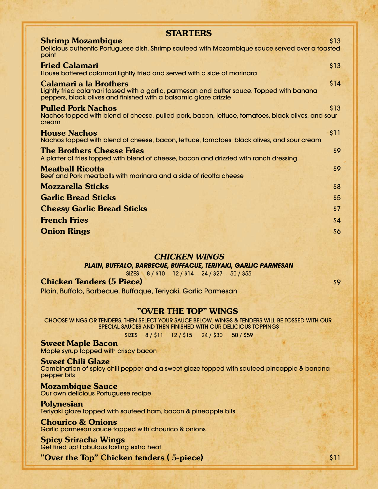| <b>STARTERS</b>                                                                                                                                                                                 |      |
|-------------------------------------------------------------------------------------------------------------------------------------------------------------------------------------------------|------|
| <b>Shrimp Mozambique</b><br>Delicious authentic Portuguese dish. Shrimp sauteed with Mozambique sauce served over a toasted<br>point                                                            | \$13 |
| <b>Fried Calamari</b><br>House battered calamari lightly fried and served with a side of marinara                                                                                               | \$13 |
| <b>Calamari a la Brothers</b><br>Lightly fried calamari tossed with a garlic, parmesan and butter sauce. Topped with banana<br>peppers, black olives and finished with a balsamic glaze drizzle | \$14 |
| <b>Pulled Pork Nachos</b><br>Nachos topped with blend of cheese, pulled pork, bacon, lettuce, tomatoes, black olives, and sour<br>cream                                                         | \$13 |
| <b>House Nachos</b><br>Nachos topped with blend of cheese, bacon, lettuce, tomatoes, black olives, and sour cream                                                                               | \$11 |
| <b>The Brothers Cheese Fries</b><br>A platter of fries topped with blend of cheese, bacon and drizzled with ranch dressing                                                                      | \$9  |
| <b>Meatball Ricotta</b><br>Beef and Pork meatballs with marinara and a side of ricotta cheese                                                                                                   | \$9  |
| <b>Mozzarella Sticks</b>                                                                                                                                                                        | \$8  |
| <b>Garlic Bread Sticks</b>                                                                                                                                                                      | \$5  |
| <b>Cheesy Garlic Bread Sticks</b>                                                                                                                                                               | \$7  |
| <b>French Fries</b>                                                                                                                                                                             | \$4  |
| <b>Onion Rings</b>                                                                                                                                                                              | \$6  |

#### *CHICKEN WINGS*

*PLAIN, BUFFALO, BARBECUE, BUFFACUE, TERIYAKI, GARLIC PARMESAN*

SIZES 8 / \$10 12 / \$14 24 / \$27 50 / \$55

**Chicken Tenders (5 Piece)** \$9

Plain, Buffalo, Barbecue, Buffaque, Teriyaki, Garlic Parmesan

## **"OVER THE TOP" WINGS**

CHOOSE WINGS OR TENDERS, THEN SELECT YOUR SAUCE BELOW. WINGS & TENDERS WILL BE TOSSED WITH OUR SPECIAL SAUCES AND THEN FINISHED WITH OUR DELICIOUS TOPPINGS

SIZES 8 / \$11 12 / \$15 24 / \$30 50 / \$59

**Sweet Maple Bacon** Maple syrup topped with crispy bacon

#### **Sweet Chili Glaze**

Combination of spicy chili pepper and a sweet glaze topped with sauteed pineapple & banana pepper bits

**Mozambique Sauce** Our own delicious Portuguese recipe

**Polynesian** Teriyaki glaze topped with sauteed ham, bacon & pineapple bits

## **Chourico & Onions**

Garlic parmesan sauce topped with chourico & onions

**Spicy Sriracha Wings** Get fired up! Fabulous tasting extra heat

**"Over the Top" Chicken tenders ( 5-piece)** \$11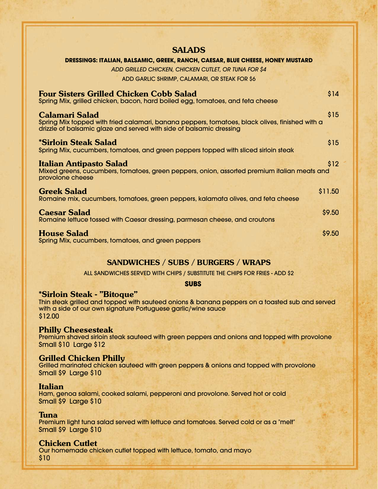| <b>SALADS</b>                                                                                                                                                         |
|-----------------------------------------------------------------------------------------------------------------------------------------------------------------------|
| DRESSINGS: ITALIAN, BALSAMIC, GREEK, RANCH, CAESAR, BLUE CHEESE, HONEY MUSTARD                                                                                        |
| ADD GRILLED CHICKEN. CHICKEN CUTLET. OR TUNA FOR \$4                                                                                                                  |
| ADD GARLIC SHRIMP, CALAMARI, OR STEAK FOR \$6                                                                                                                         |
| \$14<br><b>Four Sisters Grilled Chicken Cobb Salad</b><br>Spring Mix, grilled chicken, bacon, hard boiled egg, tomatoes, and feta cheese                              |
| \$15<br><b>Calamari Salad</b>                                                                                                                                         |
| Spring Mix topped with fried calamari, banana peppers, tomatoes, black olives, finished with a<br>drizzle of balsamic glaze and served with side of balsamic dressing |
| *Sirloin Steak Salad<br>\$15                                                                                                                                          |
| Spring Mix, cucumbers, tomatoes, and green peppers topped with sliced sirloin steak                                                                                   |
| Italian Antipasto Salad<br>\$12                                                                                                                                       |
| Mixed greens, cucumbers, tomatoes, green peppers, onion, assorted premium italian meats and<br>provolone cheese                                                       |
| \$11.50<br><b>Greek Salad</b>                                                                                                                                         |
| Romaine mix, cucumbers, tomatoes, green peppers, kalamata olives, and feta cheese                                                                                     |
| \$9.50<br><b>Caesar Salad</b><br>Romaine lettuce tossed with Caesar dressing, parmesan cheese, and croutons                                                           |
| <b>House Salad</b><br>\$9.50                                                                                                                                          |
| Spring Mix, cucumbers, tomatoes, and green peppers                                                                                                                    |

## **SANDWICHES / SUBS / BURGERS / WRAPS**

ALL SANDWICHES SERVED WITH CHIPS / SUBSTITUTE THE CHIPS FOR FRIES - ADD \$2

**SUBS**

## **\*Sirloin Steak - "Bitoque"**

Thin steak grilled and topped with sauteed onions & banana peppers on a toasted sub and served with a side of our own signature Portuguese garlic/wine sauce \$12.00

## **Philly Cheesesteak**

Premium shaved sirloin steak sauteed with green peppers and onions and topped with provolone Small \$10 Large \$12

## **Grilled Chicken Philly**

Grilled marinated chicken sauteed with green peppers & onions and topped with provolone Small \$9 Large \$10

#### **Italian**

Ham, genoa salami, cooked salami, pepperoni and provolone. Served hot or cold Small \$9 Large \$10

## **Tuna**

Premium light tuna salad served with lettuce and tomatoes. Served cold or as a "melt" Small \$9 Large \$10

## **Chicken Cutlet**

Our homemade chicken cutlet topped with lettuce, tomato, and mayo \$10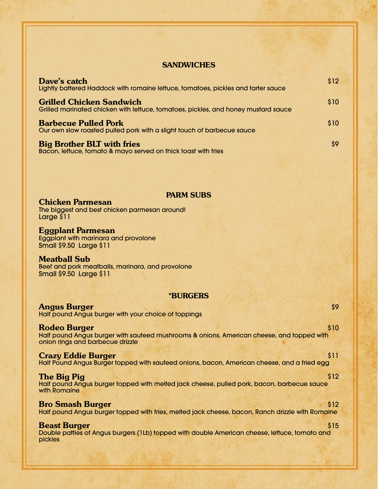## **SANDWICHES**

| Dave's catch<br>Lightly battered Haddock with romaine lettuce, tomatoes, pickles and tarter sauce                     | \$12 |
|-----------------------------------------------------------------------------------------------------------------------|------|
| <b>Grilled Chicken Sandwich</b><br>Grilled marinated chicken with lettuce, tomatoes, pickles, and honey mustard sauce | \$10 |
| <b>Barbecue Pulled Pork</b><br>Our own slow roasted pulled pork with a slight touch of barbecue sauce                 | \$10 |
| <b>Big Brother BLT with fries</b><br>Bacon, lettuce, tomato & mayo served on thick toast with fries                   | \$9  |

## **PARM SUBS**

**Chicken Parmesan** The biggest and best chicken parmesan around! Large \$11

**Eggplant Parmesan** Eggplant with marinara and provolone Small \$9.50 Large \$11

**Meatball Sub** Beef and pork meatballs, marinara, and provolone Small \$9.50 Large \$11

## **\*BURGERS**

| \$9<br><b>Angus Burger</b><br>Half pound Angus burger with your choice of toppings                                                                           |
|--------------------------------------------------------------------------------------------------------------------------------------------------------------|
| \$10<br><b>Rodeo Burger</b><br>Half pound Angus burger with sauteed mushrooms & onions, American cheese, and topped with<br>onion rings and barbecue drizzle |
| <b>Crazy Eddie Burger</b><br>\$11<br>Half Pound Angus Burger topped with sauteed onions, bacon, American cheese, and a fried egg                             |
| \$12<br>The Big Pig<br>Half pound Angus burger topped with melted jack cheese, pulled pork, bacon, barbecue sauce<br>with Romaine                            |
| <b>Bro Smash Burger</b><br>\$12<br>Half pound Angus burger topped with fries, melted jack cheese, bacon, Ranch drizzle with Romaine                          |
| <b>Beast Burger</b><br>\$15<br>Double patties of Angus burgers (1Lb) topped with double American cheese, lettuce, tomato and<br>pickles                      |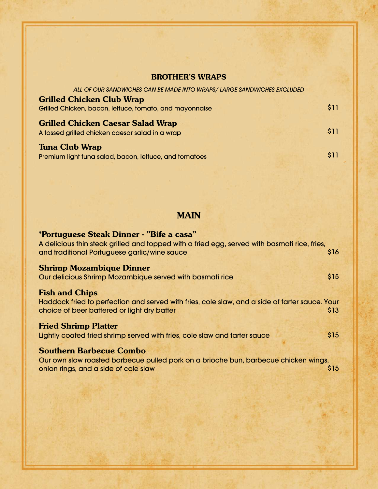# **BROTHER'S WRAPS**

| ALL OF OUR SANDWICHES CAN BE MADE INTO WRAPS/LARGE SANDWICHES EXCLUDED                      |      |
|---------------------------------------------------------------------------------------------|------|
| <b>Grilled Chicken Club Wrap</b><br>Grilled Chicken, bacon, lettuce, tomato, and mayonnaise | \$11 |
| <b>Grilled Chicken Caesar Salad Wrap</b><br>A tossed grilled chicken caesar salad in a wrap | \$11 |
| <b>Tuna Club Wrap</b><br>Premium light tuna salad, bacon, lettuce, and tomatoes             | \$11 |

# **MAIN**

| *Portuguese Steak Dinner - "Bife a casa"<br>A delicious thin steak grilled and topped with a fried egg, served with basmati rice, fries,                               |      |
|------------------------------------------------------------------------------------------------------------------------------------------------------------------------|------|
| and traditional Portuguese garlic/wine sauce                                                                                                                           | \$16 |
| <b>Shrimp Mozambique Dinner</b><br>Our delicious Shrimp Mozambique served with basmati rice                                                                            | \$15 |
| <b>Fish and Chips</b><br>Haddock fried to perfection and served with fries, cole slaw, and a side of tarter sauce. Your<br>choice of beer battered or light dry batter | \$13 |
| <b>Fried Shrimp Platter</b><br>Lightly coated fried shrimp served with fries, cole slaw and tarter sauce                                                               | \$15 |
| <b>Southern Barbecue Combo</b><br>Our own slow roasted barbecue pulled pork on a brioche bun, barbecue chicken wings,<br>onion rings, and a side of cole slaw          | \$15 |